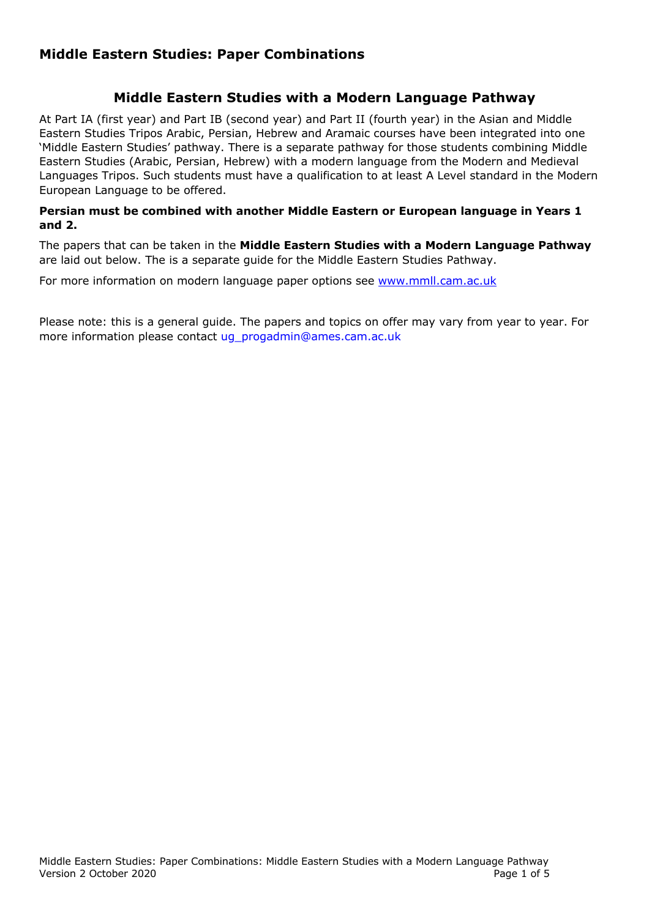# **Middle Eastern Studies: Paper Combinations**

# **Middle Eastern Studies with a Modern Language Pathway**

At Part IA (first year) and Part IB (second year) and Part II (fourth year) in the Asian and Middle Eastern Studies Tripos Arabic, Persian, Hebrew and Aramaic courses have been integrated into one 'Middle Eastern Studies' pathway. There is a separate pathway for those students combining Middle Eastern Studies (Arabic, Persian, Hebrew) with a modern language from the Modern and Medieval Languages Tripos. Such students must have a qualification to at least A Level standard in the Modern European Language to be offered.

### **Persian must be combined with another Middle Eastern or European language in Years 1 and 2.**

The papers that can be taken in the **Middle Eastern Studies with a Modern Language Pathway** are laid out below. The is a separate guide for the Middle Eastern Studies Pathway.

For more information on modern language paper options see www.mmll.cam.ac.uk

Please note: this is a general guide. The papers and topics on offer may vary from year to year. For more information please contact ug progadmin@ames.cam.ac.uk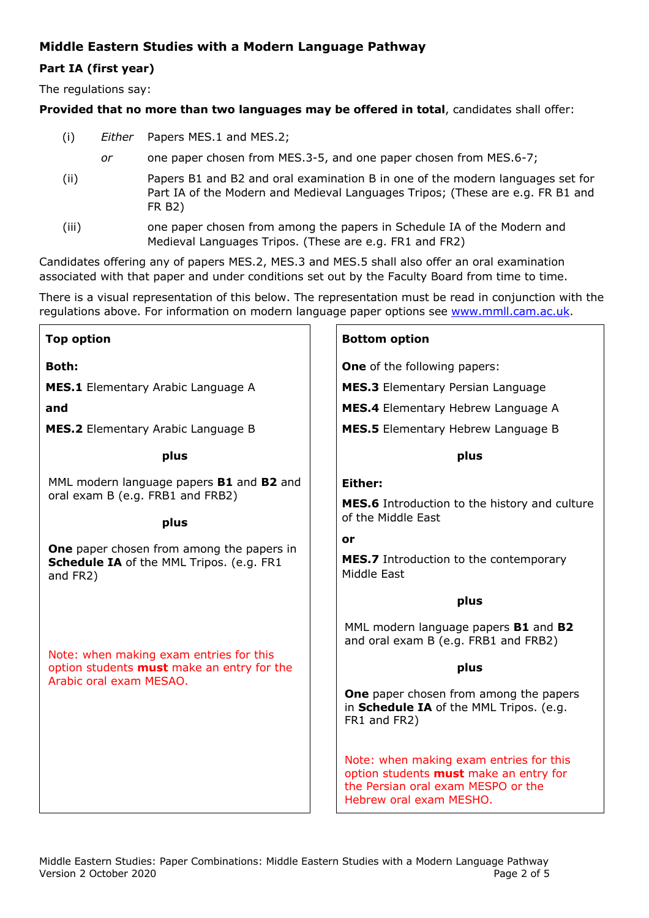# **Middle Eastern Studies with a Modern Language Pathway**

## **Part IA (first year)**

The regulations say:

### **Provided that no more than two languages may be offered in total**, candidates shall offer:

- (i) *Either* Papers MES.1 and MES.2;
	- *or* one paper chosen from MES.3-5, and one paper chosen from MES.6-7;
- (ii) Papers B1 and B2 and oral examination B in one of the modern languages set for Part IA of the Modern and Medieval Languages Tripos; (These are e.g. FR B1 and FR B2)
- (iii) one paper chosen from among the papers in Schedule IA of the Modern and Medieval Languages Tripos. (These are e.g. FR1 and FR2)

Candidates offering any of papers MES.2, MES.3 and MES.5 shall also offer an oral examination associated with that paper and under conditions set out by the Faculty Board from time to time.

There is a visual representation of this below. The representation must be read in conjunction with the regulations above. For information on modern language paper options see www.mmll.cam.ac.uk.

| <b>Top option</b>                                                                                                                                                                                       | <b>Bottom option</b>                                                                                                                                                                                                                                                                                                                                                  |
|---------------------------------------------------------------------------------------------------------------------------------------------------------------------------------------------------------|-----------------------------------------------------------------------------------------------------------------------------------------------------------------------------------------------------------------------------------------------------------------------------------------------------------------------------------------------------------------------|
| <b>Both:</b>                                                                                                                                                                                            | <b>One</b> of the following papers:                                                                                                                                                                                                                                                                                                                                   |
| <b>MES.1</b> Elementary Arabic Language A                                                                                                                                                               | <b>MES.3</b> Elementary Persian Language                                                                                                                                                                                                                                                                                                                              |
| and                                                                                                                                                                                                     | <b>MES.4</b> Elementary Hebrew Language A                                                                                                                                                                                                                                                                                                                             |
| <b>MES.2</b> Elementary Arabic Language B                                                                                                                                                               | <b>MES.5</b> Elementary Hebrew Language B                                                                                                                                                                                                                                                                                                                             |
| plus                                                                                                                                                                                                    | plus                                                                                                                                                                                                                                                                                                                                                                  |
| MML modern language papers B1 and B2 and<br>oral exam B (e.g. FRB1 and FRB2)<br>plus<br><b>One</b> paper chosen from among the papers in<br><b>Schedule IA of the MML Tripos. (e.g. FR1</b><br>and FR2) | Either:<br>MES.6 Introduction to the history and culture<br>of the Middle East<br>or<br><b>MES.7</b> Introduction to the contemporary<br>Middle East                                                                                                                                                                                                                  |
| Note: when making exam entries for this<br>option students <b>must</b> make an entry for the<br>Arabic oral exam MESAO.                                                                                 | plus<br>MML modern language papers B1 and B2<br>and oral exam B (e.g. FRB1 and FRB2)<br>plus<br><b>One</b> paper chosen from among the papers<br>in Schedule IA of the MML Tripos. (e.g.<br>FR1 and FR2)<br>Note: when making exam entries for this<br>option students <b>must</b> make an entry for<br>the Persian oral exam MESPO or the<br>Hebrew oral exam MESHO. |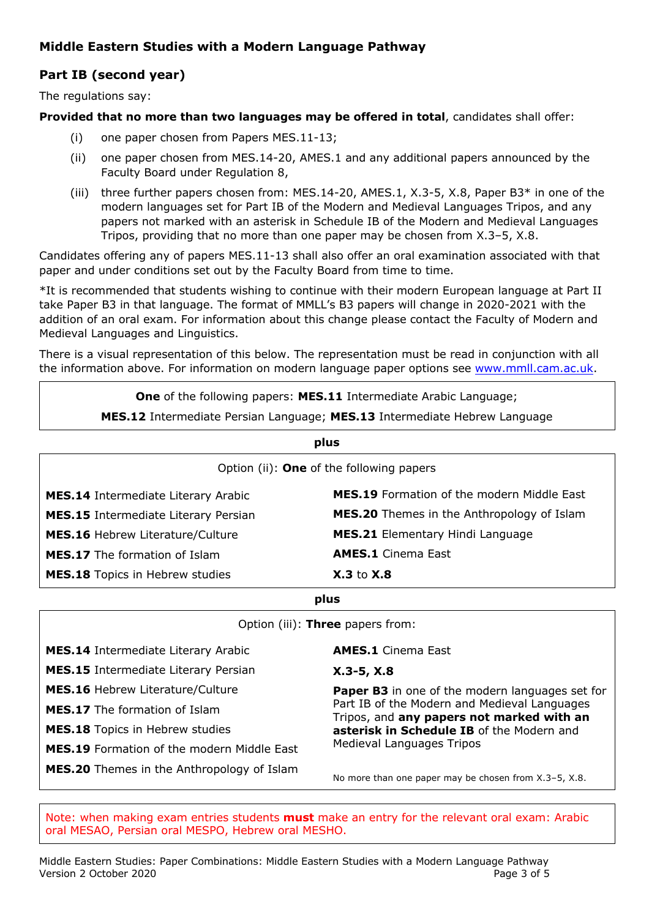# **Middle Eastern Studies with a Modern Language Pathway**

# **Part IB (second year)**

The regulations say:

### **Provided that no more than two languages may be offered in total**, candidates shall offer:

- (i) one paper chosen from Papers MES.11-13;
- (ii) one paper chosen from MES.14-20, AMES.1 and any additional papers announced by the Faculty Board under Regulation 8,
- (iii) three further papers chosen from: MES.14-20, AMES.1, X.3-5, X.8, Paper B3\* in one of the modern languages set for Part IB of the Modern and Medieval Languages Tripos, and any papers not marked with an asterisk in Schedule IB of the Modern and Medieval Languages Tripos, providing that no more than one paper may be chosen from X.3–5, X.8.

Candidates offering any of papers MES.11-13 shall also offer an oral examination associated with that paper and under conditions set out by the Faculty Board from time to time.

\*It is recommended that students wishing to continue with their modern European language at Part II take Paper B3 in that language. The format of MMLL's B3 papers will change in 2020-2021 with the addition of an oral exam. For information about this change please contact the Faculty of Modern and Medieval Languages and Linguistics.

There is a visual representation of this below. The representation must be read in conjunction with all the information above. For information on modern language paper options see www.mmll.cam.ac.uk.

**One** of the following papers: **MES.11** Intermediate Arabic Language;

**MES.12** Intermediate Persian Language; **MES.13** Intermediate Hebrew Language

| plus                                            |                                            |
|-------------------------------------------------|--------------------------------------------|
| Option (ii): <b>One</b> of the following papers |                                            |
| <b>MES.14</b> Intermediate Literary Arabic      | MES.19 Formation of the modern Middle East |
| <b>MES.15</b> Intermediate Literary Persian     | MES.20 Themes in the Anthropology of Islam |
| <b>MES.16 Hebrew Literature/Culture</b>         | <b>MES.21 Elementary Hindi Language</b>    |
| <b>MES.17</b> The formation of Islam            | <b>AMES.1</b> Cinema East                  |
| <b>MES.18</b> Topics in Hebrew studies          | $X.3$ to $X.8$                             |

**plus**

Option (iii): **Three** papers from:

| <b>MES.14</b> Intermediate Literary Arabic        | <b>AMES.1</b> Cinema East                                                                 |
|---------------------------------------------------|-------------------------------------------------------------------------------------------|
| <b>MES.15</b> Intermediate Literary Persian       | $X.3-5, X.8$                                                                              |
| <b>MES.16 Hebrew Literature/Culture</b>           | <b>Paper B3</b> in one of the modern languages set for                                    |
| <b>MES.17</b> The formation of Islam              | Part IB of the Modern and Medieval Languages<br>Tripos, and any papers not marked with an |
| <b>MES.18</b> Topics in Hebrew studies            | asterisk in Schedule IB of the Modern and                                                 |
| <b>MES.19</b> Formation of the modern Middle East | <b>Medieval Languages Tripos</b>                                                          |
| <b>MES.20</b> Themes in the Anthropology of Islam | No more than one paper may be chosen from X.3-5, X.8.                                     |

Note: when making exam entries students **must** make an entry for the relevant oral exam: Arabic oral MESAO, Persian oral MESPO, Hebrew oral MESHO.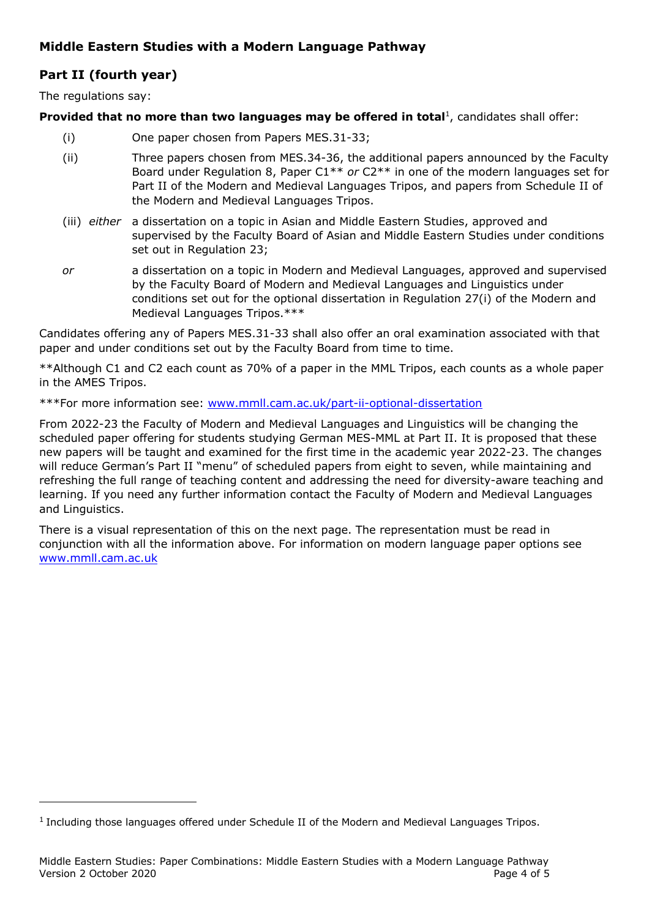# **Middle Eastern Studies with a Modern Language Pathway**

# **Part II (fourth year)**

The regulations say:

#### **Provided that no more than two languages may be offered in total<sup>1</sup>, candidates shall offer:**

- (i) One paper chosen from Papers MES.31-33;
- (ii) Three papers chosen from MES.34-36, the additional papers announced by the Faculty Board under Regulation 8, Paper C1\*\* *or* C2\*\* in one of the modern languages set for Part II of the Modern and Medieval Languages Tripos, and papers from Schedule II of the Modern and Medieval Languages Tripos.
- (iii) *either* a dissertation on a topic in Asian and Middle Eastern Studies, approved and supervised by the Faculty Board of Asian and Middle Eastern Studies under conditions set out in Regulation 23;
- *or* a dissertation on a topic in Modern and Medieval Languages, approved and supervised by the Faculty Board of Modern and Medieval Languages and Linguistics under conditions set out for the optional dissertation in Regulation 27(i) of the Modern and Medieval Languages Tripos.\*\*\*

Candidates offering any of Papers MES.31-33 shall also offer an oral examination associated with that paper and under conditions set out by the Faculty Board from time to time.

\*\*Although C1 and C2 each count as 70% of a paper in the MML Tripos, each counts as a whole paper in the AMES Tripos.

\*\*\*For more information see: www.mmll.cam.ac.uk/part-ii-optional-dissertation

From 2022-23 the Faculty of Modern and Medieval Languages and Linguistics will be changing the scheduled paper offering for students studying German MES-MML at Part II. It is proposed that these new papers will be taught and examined for the first time in the academic year 2022-23. The changes will reduce German's Part II "menu" of scheduled papers from eight to seven, while maintaining and refreshing the full range of teaching content and addressing the need for diversity-aware teaching and learning. If you need any further information contact the Faculty of Modern and Medieval Languages and Linguistics.

There is a visual representation of this on the next page. The representation must be read in conjunction with all the information above. For information on modern language paper options see www.mmll.cam.ac.uk

 $<sup>1</sup>$  Including those languages offered under Schedule II of the Modern and Medieval Languages Tripos.</sup>